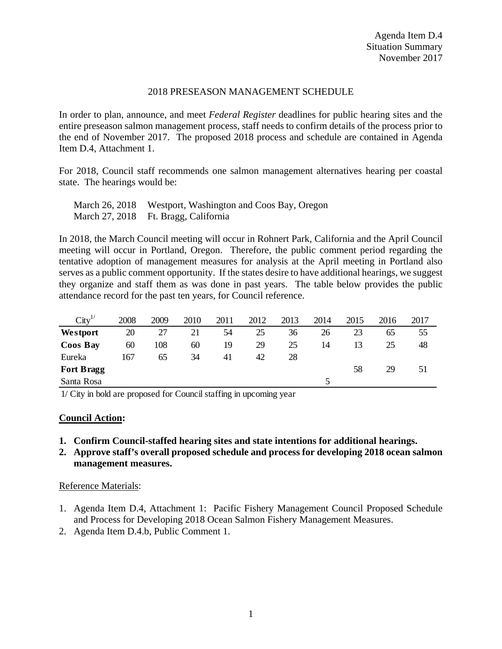## 2018 PRESEASON MANAGEMENT SCHEDULE

In order to plan, announce, and meet *Federal Register* deadlines for public hearing sites and the entire preseason salmon management process, staff needs to confirm details of the process prior to the end of November 2017. The proposed 2018 process and schedule are contained in Agenda Item D.4, Attachment 1.

For 2018, Council staff recommends one salmon management alternatives hearing per coastal state. The hearings would be:

March 26, 2018 Westport, Washington and Coos Bay, Oregon March 27, 2018 Ft. Bragg, California

In 2018, the March Council meeting will occur in Rohnert Park, California and the April Council meeting will occur in Portland, Oregon. Therefore, the public comment period regarding the tentative adoption of management measures for analysis at the April meeting in Portland also serves as a public comment opportunity. If the states desire to have additional hearings, we suggest they organize and staff them as was done in past years. The table below provides the public attendance record for the past ten years, for Council reference.

| $\mathrm{City}^{1/}$ | 2008 | 2009 | 2010 | 2011 | 2012 | 2013 | 2014 | 2015 | 2016 | 2017 |
|----------------------|------|------|------|------|------|------|------|------|------|------|
| Westport             | 20   | 27   | 21   | 54   | 25   | 36   | 26   | 23   | 65   | 55   |
| <b>Coos Bay</b>      | 60   | 108  | 60   | 19   | 29   | 25   | 14   | 13   | 25   | 48   |
| Eureka               | 167  | 65   | 34   | 41   | 42   | 28   |      |      |      |      |
| <b>Fort Bragg</b>    |      |      |      |      |      |      |      | 58   | 29   | 51   |
| Santa Rosa           |      |      |      |      |      |      |      |      |      |      |

1/ City in bold are proposed for Council staffing in upcoming year

## **Council Action:**

- **1. Confirm Council-staffed hearing sites and state intentions for additional hearings.**
- **2. Approve staff's overall proposed schedule and process for developing 2018 ocean salmon management measures.**

## Reference Materials:

- 1. Agenda Item D.4, Attachment 1: Pacific Fishery Management Council Proposed Schedule and Process for Developing 2018 Ocean Salmon Fishery Management Measures.
- 2. Agenda Item D.4.b, Public Comment 1.